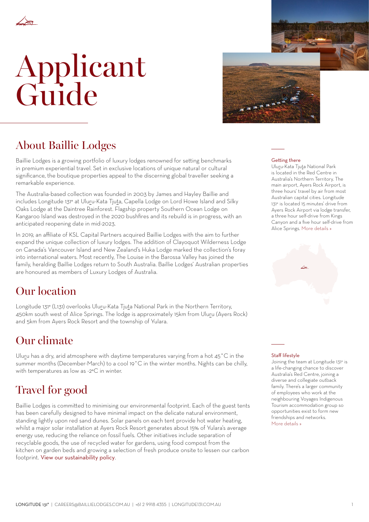

## Applicant Guide



## About Baillie Lodges

Baillie Lodges is a growing portfolio of luxury lodges renowned for setting benchmarks in premium experiential travel. Set in exclusive locations of unique natural or cultural significance, the boutique properties appeal to the discerning global traveller seeking a remarkable experience.

The Australia-based collection was founded in 2003 by James and Hayley Baillie and includes Longitude 131° at Uluru-Kata Tjuta, Capella Lodge on Lord Howe Island and Silky Oaks Lodge at the Daintree Rainforest. Flagship property Southern Ocean Lodge on Kangaroo Island was destroyed in the 2020 bushfires and its rebuild is in progress, with an anticipated reopening date in mid-2023.

In 2019, an affiliate of KSL Capital Partners acquired Baillie Lodges with the aim to further expand the unique collection of luxury lodges. The addition of Clayoquot Wilderness Lodge on Canada's Vancouver Island and New Zealand's Huka Lodge marked the collection's foray into international waters. Most recently, The Louise in the Barossa Valley has joined the family, heralding Baillie Lodges return to South Australia. Baillie Lodges' Australian properties are honoured as members of Luxury Lodges of Australia.

## Our location

Longitude 131° (L131) overlooks Uluru-Kata Tjuta National Park in the Northern Territory, 450km south west of Alice Springs. The lodge is approximately 15km from Uluru (Ayers Rock) and 5km from Ayers Rock Resort and the township of Yulara.

## Our climate

Uluru has a dry, arid atmosphere with daytime temperatures varying from a hot 45˚C in the summer months (December-March) to a cool 19˚C in the winter months. Nights can be chilly, with temperatures as low as -2°C in winter.

## Travel for good

Baillie Lodges is committed to minimising our environmental footprint. Each of the guest tents has been carefully designed to have minimal impact on the delicate natural environment, standing lightly upon red sand dunes. Solar panels on each tent provide hot water heating, whilst a major solar installation at Ayers Rock Resort generates about 15% of Yulara's average energy use, reducing the reliance on fossil fuels. Other initiatives include separation of recyclable goods, the use of recycled water for gardens, using food compost from the kitchen on garden beds and growing a selection of fresh produce onsite to lessen our carbon footprint. [View our sustainability policy](https://longitude131.com.au/lodge/#environment).

#### Getting there

Uluru-Kata Tjuta National Park is located in the Red Centre in Australia's Northern Territory. The main airport, Ayers Rock Airport, is three hours' travel by air from most Australian capital cities. Longitude 131° is located 15 minutes' drive from Ayers Rock Airport via lodge transfer, a three hour self-drive from Kings Canyon and a five hour self-drive from Alice Springs. [More details »](#page-5-0)



#### Staff lifestyle

Joining the team at Longitude 131° is a life-changing chance to discover Australia's Red Centre, joining a diverse and collegiate outback family. There's a larger community of employees who work at the neighbouring Voyages Indigenous Tourism accommodation group so opportunities exist to form new friendships and networks. [More details »](#page-4-0)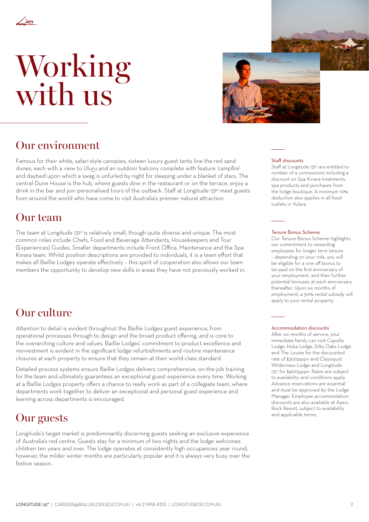

## Working with us



### Our environment

Famous for their white, safari-style canopies, sixteen luxury guest tents line the red sand dunes, each with a view to Uluru and an outdoor balcony complete with feature 'campfire' and daybed upon which a swag is unfurled by night for sleeping under a blanket of stars. The central Dune House is the hub, where guests dine in the restaurant or on the terrace, enjoy a drink in the bar and join personalised tours of the outback. Staff at Longitude 131° meet guests from around the world who have come to visit Australia's premier natural attraction.

## Our team

The team at Longitude 131° is relatively small, though quite diverse and unique. The most common roles include Chefs, Food and Beverage Attendants, Housekeepers and Tour (Experiences) Guides. Smaller departments include Front Office, Maintenance and the Spa Kinara team. Whilst position descriptions are provided to individuals, it is a team effort that makes all Baillie Lodges operate effectively – this spirit of cooperation also allows our team members the opportunity to develop new skills in areas they have not previously worked in.

## Our culture

Attention to detail is evident throughout the Baillie Lodges guest experience, from operational processes through to design and the broad product offering, and is core to the overarching culture and values. Baillie Lodges' commitment to product excellence and reinvestment is evident in the significant lodge refurbishments and routine maintenance closures at each property to ensure that they remain at their world-class standard.

Detailed process systems ensure Baillie Lodges delivers comprehensive, on-the-job training for the team and ultimately guarantees an exceptional guest experience every time. Working at a Baillie Lodges property offers a chance to really work as part of a collegiate team, where departments work together to deliver an exceptional and personal guest experience and learning across departments is encouraged.

### **Our guests** and applicable terms.

Longitude's target market is predominantly discerning guests seeking an exclusive experience of Australia's red centre. Guests stay for a minimum of two nights and the lodge welcomes children ten years and over. The lodge operates at consistently high occupancies year round, however, the milder winter months are particularly popular and it is always very busy over the festive season.

#### Staff discounts

Staff at Longitude 131° are entitled to number of a concessions including a discount on Spa Kinara treatments, spa products and purchases from the lodge boutique. A minimum 10% deduction also applies in all food outlets in Yulara.

#### Tenure Bonus Scheme

Our Tenure Bonus Scheme highlights our commitment to rewarding employees for longer term tenure – depending on your role, you will be eligible for a one off bonus to be paid on the first anniversary of your employment, and then further potential bonuses at each anniversary thereafter. Upon six months of employment, a 50% rental subsidy will apply to your rental property.

#### Accommodation discounts

After six months of service, your immediate family can visit Capella Lodge, Huka Lodge, Silky Oaks Lodge and The Louise for the discounted rate of \$300pppn and Clayoquot Wilderness Lodge and Longitude 131° for \$400pppn. Rates are subject to availability and conditions apply. Advance reservations are essential and must be approved by the Lodge Manager. Employee accommodation discounts are also available at Ayers Rock Resort, subject to availability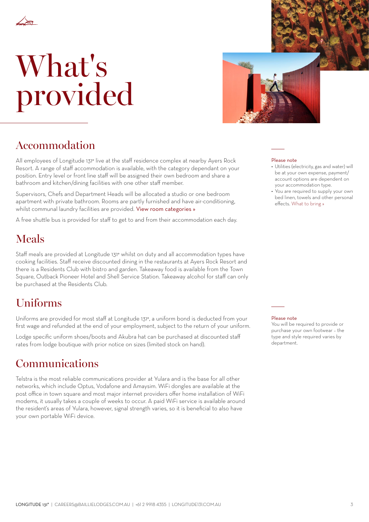

# What's provided



## Accommodation

All employees of Longitude 131° live at the staff residence complex at nearby Ayers Rock Resort. A range of staff accommodation is available, with the category dependant on your position. Entry level or front line staff will be assigned their own bedroom and share a bathroom and kitchen/dining facilities with one other staff member.

Supervisors, Chefs and Department Heads will be allocated a studio or one bedroom apartment with private bathroom. Rooms are partly furnished and have air-conditioning, whilst communal laundry facilities are provided. [View room categories »](#page-3-0)

A free shuttle bus is provided for staff to get to and from their accommodation each day.

## Meals

Staff meals are provided at Longitude 131° whilst on duty and all accommodation types have cooking facilities. Staff receive discounted dining in the restaurants at Ayers Rock Resort and there is a Residents Club with bistro and garden. Takeaway food is available from the Town Square, Outback Pioneer Hotel and Shell Service Station. Takeaway alcohol for staff can only be purchased at the Residents Club.

## Uniforms

Uniforms are provided for most staff at Longitude 131°, a uniform bond is deducted from your first wage and refunded at the end of your employment, subject to the return of your uniform.

Lodge specific uniform shoes/boots and Akubra hat can be purchased at discounted staff rates from lodge boutique with prior notice on sizes (limited stock on hand).

### Communications

Telstra is the most reliable communications provider at Yulara and is the base for all other networks, which include Optus, Vodafone and Amaysim. WiFi dongles are available at the post office in town square and most major internet providers offer home installation of WiFi modems, it usually takes a couple of weeks to occur. A paid WiFi service is available around the resident's areas of Yulara, however, signal strength varies, so it is beneficial to also have your own portable WiFi device.

#### Please note

- Utilities (electricity, gas and water) will be at your own expense, payment/ account options are dependent on your accommodation type.
- You are required to supply your own bed linen, towels and other personal effects. [What to bring »](#page-5-0)

#### Please note

You will be required to provide or purchase your own footwear – the type and style required varies by department.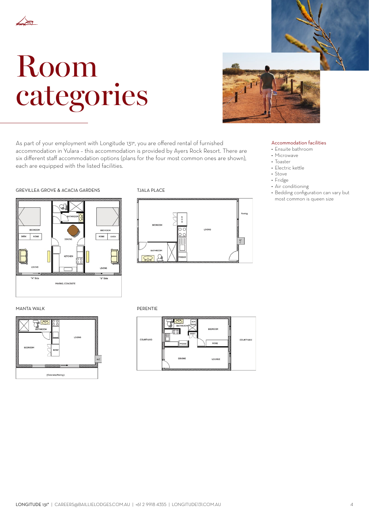<span id="page-3-0"></span>

## Room categories



As part of your employment with Longitude 131°, you are offered rental of furnished accommodation in Yulara – this accommodation is provided by Ayers Rock Resort. There are six different staff accommodation options (plans for the four most common ones are shown), each are equipped with the listed facilities.

#### • Microwave • Toaster

Accommodation facilities • Ensuite bathroom

- Electric kettle
- Stove
- Fridge
- Air conditioning
- Bedding configuration can vary but most common is queen size

#### GREVILLEA GROVE & ACACIA GARDENS TJALA PLACE





MANTA WALK **PERENTIE** 



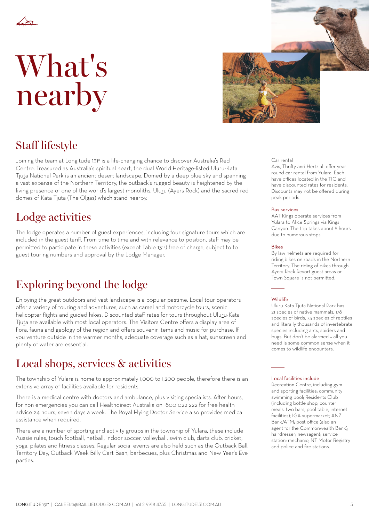<span id="page-4-0"></span>

## What's nearby



## Staff lifestyle

Joining the team at Longitude 131° is a life-changing chance to discover Australia's Red Centre. Treasured as Australia's spiritual heart, the dual World Heritage-listed Uluru-Kata Tjuta National Park is an ancient desert landscape. Domed by a deep blue sky and spanning a vast expanse of the Northern Territory, the outback's rugged beauty is heightened by the living presence of one of the world's largest monoliths, Uluru (Ayers Rock) and the sacred red domes of Kata Tjuta (The Olgas) which stand nearby.

## Lodge activities

The lodge operates a number of guest experiences, including four signature tours which are included in the guest tariff. From time to time and with relevance to position, staff may be permitted to participate in these activities (except Table 131°) free of charge, subject to to guest touring numbers and approval by the Lodge Manager.

## Exploring beyond the lodge

Enjoying the great outdoors and vast landscape is a popular pastime. Local tour operators offer a variety of touring and adventures, such as camel and motorcycle tours, scenic helicopter flights and guided hikes. Discounted staff rates for tours throughout Uluru-Kata Tjuta are available with most local operators. The Visitors Centre offers a display area of flora, fauna and geology of the region and offers souvenir items and music for purchase. If you venture outside in the warmer months, adequate coverage such as a hat, sunscreen and plenty of water are essential.

### Local shops, services & activities

The township of Yulara is home to approximately 1,000 to 1,200 people, therefore there is an extensive array of facilities available for residents.

There is a medical centre with doctors and ambulance, plus visiting specialists. After hours, for non emergencies you can call Healthdirect Australia on 1800 022 222 for free health advice 24 hours, seven days a week. The Royal Flying Doctor Service also provides medical assistance when required.

There are a number of sporting and activity groups in the township of Yulara, these include Aussie rules, touch football, netball, indoor soccer, volleyball, swim club, darts club, cricket, yoga, pilates and fitness classes. Regular social events are also held such as the Outback Ball, Territory Day, Outback Week Billy Cart Bash, barbecues, plus Christmas and New Year's Eve parties.

#### Car rental

Avis, Thrifty and Hertz all offer yearround car rental from Yulara. Each have offices located in the TIC and have discounted rates for residents. Discounts may not be offered during peak periods.

#### Bus services

AAT Kings operate services from Yulara to Alice Springs via Kings Canyon. The trip takes about 8 hours due to numerous stops.

#### Bikes

By law helmets are required for riding bikes on roads in the Northern Territory. The riding of bikes through Ayers Rock Resort guest areas or Town Square is not permitted.

#### **Wildlife**

Uluru-Kata Tjuta National Park has 21 species of native mammals, 178 species of birds, 73 species of reptiles and literally thousands of invertebrate species including ants, spiders and bugs. But don't be alarmed – all you need is some common sense when it comes to wildlife encounters.

#### Local facilities include

Recreation Centre, including gym and sporting facilities; community swimming pool; Residents Club (including bottle shop, counter meals, two bars, pool table, internet facilities); IGA supermarket; ANZ Bank/ATM; post office (also an agent for the Commonwealth Bank); hairdresser; newsagent; service station; mechanic; NT Motor Registry and police and fire stations.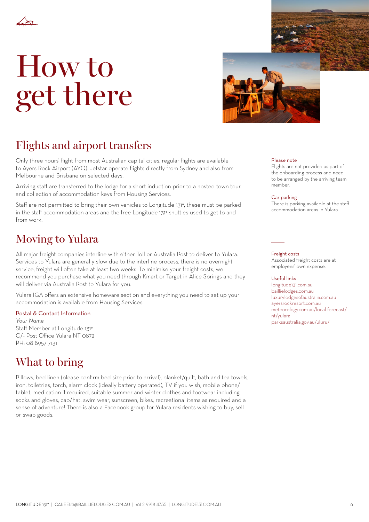<span id="page-5-0"></span>

## How to get there



## Flights and airport transfers

Only three hours' flight from most Australian capital cities, regular flights are available to Ayers Rock Airport (AYQ). Jetstar operate flights directly from Sydney and also from Melbourne and Brisbane on selected days.

Arriving staff are transferred to the lodge for a short induction prior to a hosted town tour and collection of accommodation keys from Housing Services.

Staff are not permitted to bring their own vehicles to Longitude 131°, these must be parked in the staff accommodation areas and the free Longitude 131° shuttles used to get to and from work.

## Moving to Yulara

All major freight companies interline with either Toll or Australia Post to deliver to Yulara. Services to Yulara are generally slow due to the interline process, there is no overnight service, freight will often take at least two weeks. To minimise your freight costs, we recommend you purchase what you need through Kmart or Target in Alice Springs and they will deliver via Australia Post to Yulara for you.

Yulara IGA offers an extensive homeware section and everything you need to set up your accommodation is available from Housing Services.

#### Postal & Contact Information

*Your Name* Staff Member at Longitude 131° C/- Post Office Yulara NT 0872 PH: 08 8957 7131

## What to bring

Pillows, bed linen (please confirm bed size prior to arrival), blanket/quilt, bath and tea towels, iron, toiletries, torch, alarm clock (ideally battery operated), TV if you wish, mobile phone/ tablet, medication if required, suitable summer and winter clothes and footwear including socks and gloves, cap/hat, swim wear, sunscreen, bikes, recreational items as required and a sense of adventure! There is also a Facebook group for Yulara residents wishing to buy, sell or swap goods.

#### Please note

Flights are not provided as part of the onboarding process and need to be arranged by the arriving team member.

#### Car parking

There is parking available at the staff accommodation areas in Yulara.

#### Freight costs

Associated freight costs are at employees' own expense.

#### Useful links

[longitude131.com.au](http://www.longitude131.com.au) [baillielodges.com.au](http://www.baillielodges.com.au) [luxurylodgesofaustralia.com.au](http://www.luxurylodgesofaustralia.com.au) aversrockresort.com.au. [meteorology.com.au/local-forecast/](http://www.meteorology.com.au/local-forecast/nt/yulara) [nt/yulara](http://www.meteorology.com.au/local-forecast/nt/yulara) [parksaustralia.gov.au/uluru/](http://www.parksaustralia.gov.au/uluru/)